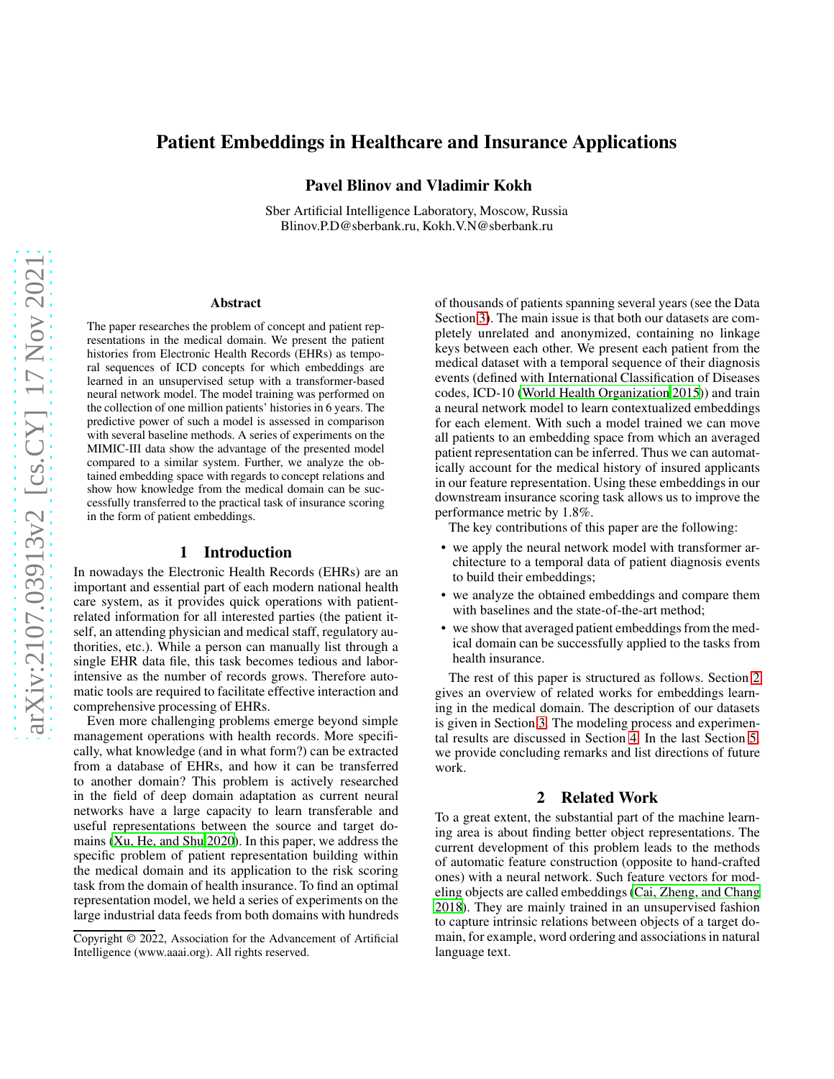# Patient Embeddings in Healthcare and Insurance Applications

Pavel Blinov and Vladimir Kokh

Sber Artificial Intelligence Laboratory, Moscow, Russia Blinov.P.D@sberbank.ru, Kokh.V.N@sberbank.ru

#### Abstract

The paper researches the problem of concept and patient representations in the medical domain. We present the patient histories from Electronic Health Records (EHRs) as temporal sequences of ICD concepts for which embeddings are learned in an unsupervised setup with a transformer-based neural network model. The model training was performed on the collection of one million patients' histories in 6 years. The predictive power of such a model is assessed in comparison with several baseline methods. A series of experiments on the MIMIC-III data show the advantage of the presented model compared to a similar system. Further, we analyze the obtained embedding space with regards to concept relations and show how knowledge from the medical domain can be successfully transferred to the practical task of insurance scoring in the form of patient embeddings.

#### 1 Introduction

In nowadays the Electronic Health Records (EHRs) are an important and essential part of each modern national health care system, as it provides quick operations with patientrelated information for all interested parties (the patient itself, an attending physician and medical staff, regulatory authorities, etc.). While a person can manually list through a single EHR data file, this task becomes tedious and laborintensive as the number of records grows. Therefore automatic tools are required to facilitate effective interaction and comprehensive processing of EHRs.

Even more challenging problems emerge beyond simple management operations with health records. More specifically, what knowledge (and in what form?) can be extracted from a database of EHRs, and how it can be transferred to another domain? This problem is actively researched in the field of deep domain adaptation as current neural networks have a large capacity to learn transferable and useful representations between the source and target domains [\(Xu, He, and Shu 2020\)](#page-7-0). In this paper, we address the specific problem of patient representation building within the medical domain and its application to the risk scoring task from the domain of health insurance. To find an optimal representation model, we held a series of experiments on the large industrial data feeds from both domains with hundreds of thousands of patients spanning several years (see the Data Section [3\)](#page-1-0). The main issue is that both our datasets are completely unrelated and anonymized, containing no linkage keys between each other. We present each patient from the medical dataset with a temporal sequence of their diagnosis events (defined with International Classification of Diseases codes, ICD-10 [\(World Health Organization 2015\)](#page-6-0)) and train a neural network model to learn contextualized embeddings for each element. With such a model trained we can move all patients to an embedding space from which an averaged patient representation can be inferred. Thus we can automatically account for the medical history of insured applicants in our feature representation. Using these embeddings in our downstream insurance scoring task allows us to improve the performance metric by 1.8%.

The key contributions of this paper are the following:

- we apply the neural network model with transformer architecture to a temporal data of patient diagnosis events to build their embeddings;
- we analyze the obtained embeddings and compare them with baselines and the state-of-the-art method;
- we show that averaged patient embeddings from the medical domain can be successfully applied to the tasks from health insurance.

The rest of this paper is structured as follows. Section [2](#page-0-0) gives an overview of related works for embeddings learning in the medical domain. The description of our datasets is given in Section [3.](#page-1-0) The modeling process and experimental results are discussed in Section [4.](#page-1-1) In the last Section [5,](#page-5-0) we provide concluding remarks and list directions of future work.

## 2 Related Work

<span id="page-0-0"></span>To a great extent, the substantial part of the machine learning area is about finding better object representations. The current development of this problem leads to the methods of automatic feature construction (opposite to hand-crafted ones) with a neural network. Such feature vectors for modeling objects are called embeddings [\(Cai, Zheng, and Chang](#page-6-1) [2018\)](#page-6-1). They are mainly trained in an unsupervised fashion to capture intrinsic relations between objects of a target domain, for example, word ordering and associations in natural language text.

Copyright © 2022, Association for the Advancement of Artificial Intelligence (www.aaai.org). All rights reserved.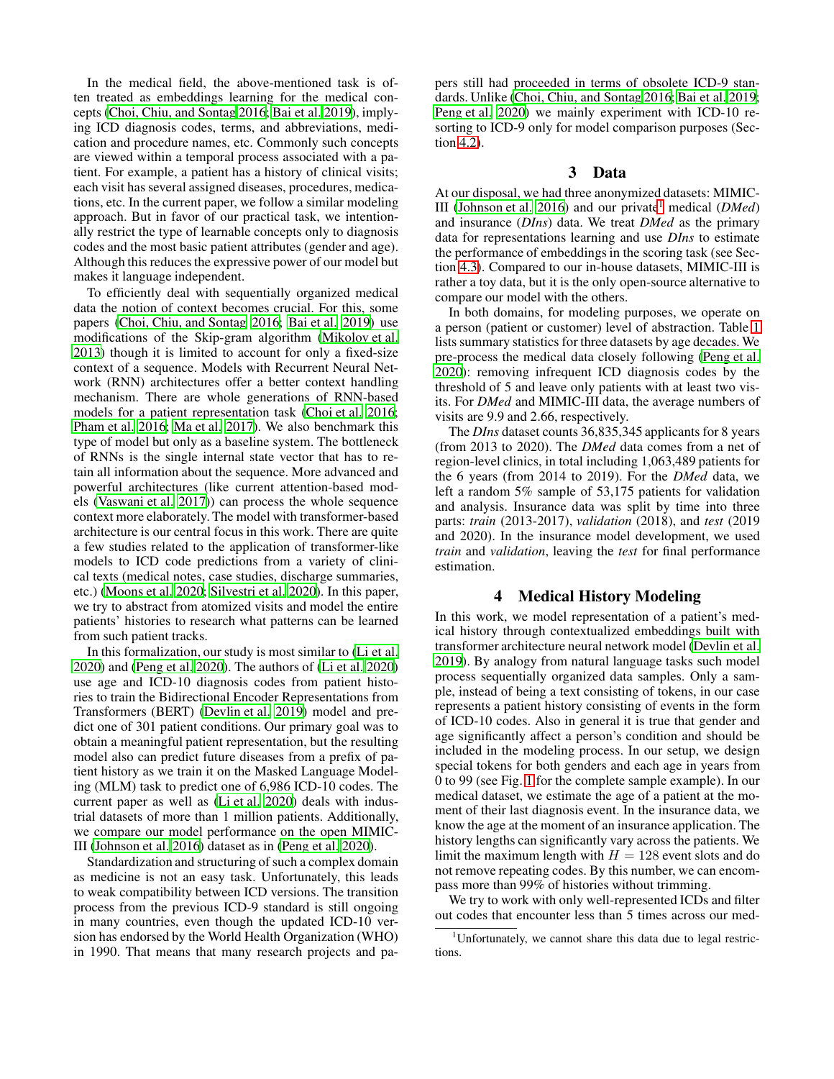In the medical field, the above-mentioned task is often treated as embeddings learning for the medical concepts [\(Choi, Chiu, and Sontag 2016](#page-6-2); [Bai et al. 2019](#page-6-3)), implying ICD diagnosis codes, terms, and abbreviations, medication and procedure names, etc. Commonly such concepts are viewed within a temporal process associated with a patient. For example, a patient has a history of clinical visits; each visit has several assigned diseases, procedures, medications, etc. In the current paper, we follow a similar modeling approach. But in favor of our practical task, we intentionally restrict the type of learnable concepts only to diagnosis codes and the most basic patient attributes (gender and age). Although this reduces the expressive power of our model but makes it language independent.

To efficiently deal with sequentially organized medical data the notion of context becomes crucial. For this, some papers [\(Choi, Chiu, and Sontag 2016;](#page-6-2) [Bai et al. 2019\)](#page-6-3) use modifications of the Skip-gram algorithm [\(Mikolov et al.](#page-6-4) [2013\)](#page-6-4) though it is limited to account for only a fixed-size context of a sequence. Models with Recurrent Neural Network (RNN) architectures offer a better context handling mechanism. There are whole generations of RNN-based models for a patient representation task [\(Choi et al. 2016;](#page-6-5) [Pham et al. 2016;](#page-6-6) [Ma et al. 2017](#page-6-7)). We also benchmark this type of model but only as a baseline system. The bottleneck of RNNs is the single internal state vector that has to retain all information about the sequence. More advanced and powerful architectures (like current attention-based models [\(Vaswani et al. 2017](#page-6-8))) can process the whole sequence context more elaborately. The model with transformer-based architecture is our central focus in this work. There are quite a few studies related to the application of transformer-like models to ICD code predictions from a variety of clinical texts (medical notes, case studies, discharge summaries, etc.) [\(Moons et al. 2020;](#page-6-9) [Silvestri et al. 2020](#page-6-10)). In this paper, we try to abstract from atomized visits and model the entire patients' histories to research what patterns can be learned from such patient tracks.

In this formalization, our study is most similar to [\(Li et al.](#page-6-11) [2020\)](#page-6-11) and [\(Peng et al. 2020](#page-6-12)). The authors of [\(Li et al. 2020](#page-6-11)) use age and ICD-10 diagnosis codes from patient histories to train the Bidirectional Encoder Representations from Transformers (BERT) [\(Devlin et al. 2019\)](#page-6-13) model and predict one of 301 patient conditions. Our primary goal was to obtain a meaningful patient representation, but the resulting model also can predict future diseases from a prefix of patient history as we train it on the Masked Language Modeling (MLM) task to predict one of 6,986 ICD-10 codes. The current paper as well as [\(Li et al. 2020\)](#page-6-11) deals with industrial datasets of more than 1 million patients. Additionally, we compare our model performance on the open MIMIC-III [\(Johnson et al. 2016\)](#page-6-14) dataset as in [\(Peng et al. 2020](#page-6-12)).

Standardization and structuring of such a complex domain as medicine is not an easy task. Unfortunately, this leads to weak compatibility between ICD versions. The transition process from the previous ICD-9 standard is still ongoing in many countries, even though the updated ICD-10 version has endorsed by the World Health Organization (WHO) in 1990. That means that many research projects and papers still had proceeded in terms of obsolete ICD-9 standards. Unlike [\(Choi, Chiu, and Sontag 2016;](#page-6-2) [Bai et al. 2019](#page-6-3); [Peng et al. 2020\)](#page-6-12) we mainly experiment with ICD-10 resorting to ICD-9 only for model comparison purposes (Section [4.2\)](#page-4-0).

### 3 Data

<span id="page-1-0"></span>At our disposal, we had three anonymized datasets: MIMIC-III [\(Johnson et al. 2016\)](#page-6-14) and our private[1](#page-1-2) medical (*DMed*) and insurance (*DIns*) data. We treat *DMed* as the primary data for representations learning and use *DIns* to estimate the performance of embeddings in the scoring task (see Section [4.3\)](#page-4-1). Compared to our in-house datasets, MIMIC-III is rather a toy data, but it is the only open-source alternative to compare our model with the others.

In both domains, for modeling purposes, we operate on a person (patient or customer) level of abstraction. Table [1](#page-2-0) lists summary statistics for three datasets by age decades. We pre-process the medical data closely following [\(Peng et al.](#page-6-12) [2020\)](#page-6-12): removing infrequent ICD diagnosis codes by the threshold of 5 and leave only patients with at least two visits. For *DMed* and MIMIC-III data, the average numbers of visits are 9.9 and 2.66, respectively.

The *DIns* dataset counts 36,835,345 applicants for 8 years (from 2013 to 2020). The *DMed* data comes from a net of region-level clinics, in total including 1,063,489 patients for the 6 years (from 2014 to 2019). For the *DMed* data, we left a random 5% sample of 53,175 patients for validation and analysis. Insurance data was split by time into three parts: *train* (2013-2017), *validation* (2018), and *test* (2019 and 2020). In the insurance model development, we used *train* and *validation*, leaving the *test* for final performance estimation.

#### 4 Medical History Modeling

<span id="page-1-1"></span>In this work, we model representation of a patient's medical history through contextualized embeddings built with transformer architecture neural network model [\(Devlin et al.](#page-6-13) [2019\)](#page-6-13). By analogy from natural language tasks such model process sequentially organized data samples. Only a sample, instead of being a text consisting of tokens, in our case represents a patient history consisting of events in the form of ICD-10 codes. Also in general it is true that gender and age significantly affect a person's condition and should be included in the modeling process. In our setup, we design special tokens for both genders and each age in years from 0 to 99 (see Fig. [1](#page-2-1) for the complete sample example). In our medical dataset, we estimate the age of a patient at the moment of their last diagnosis event. In the insurance data, we know the age at the moment of an insurance application. The history lengths can significantly vary across the patients. We limit the maximum length with  $H = 128$  event slots and do not remove repeating codes. By this number, we can encompass more than 99% of histories without trimming.

We try to work with only well-represented ICDs and filter out codes that encounter less than 5 times across our med-

<span id="page-1-2"></span><sup>&</sup>lt;sup>1</sup>Unfortunately, we cannot share this data due to legal restrictions.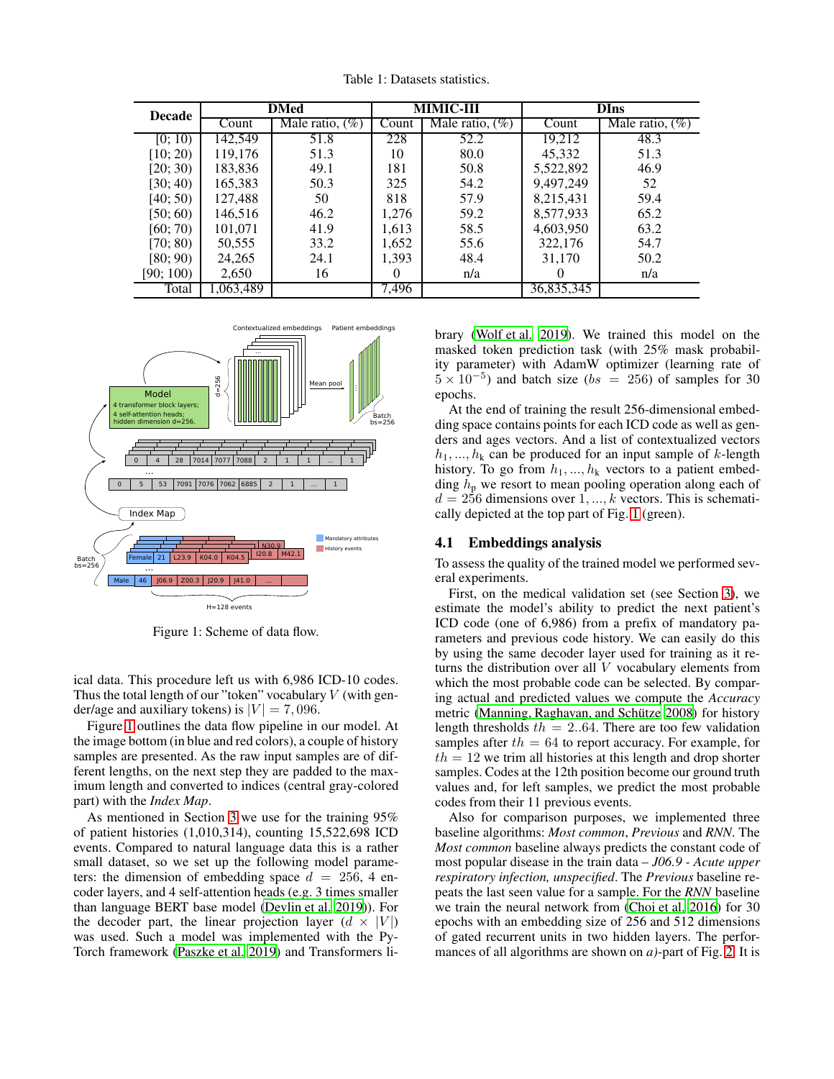<span id="page-2-0"></span>

| <b>Decade</b> |           | <b>DMed</b>        |          | <b>MIMIC-III</b>   | <b>DIns</b> |                    |  |  |
|---------------|-----------|--------------------|----------|--------------------|-------------|--------------------|--|--|
|               | Count     | Male ratio, $(\%)$ | Count    | Male ratio, $(\%)$ | Count       | Male ratio, $(\%)$ |  |  |
| [0; 10)       | 142,549   | 51.8               | 228      | 52.2               | 19,212      | 48.3               |  |  |
| [10; 20)      | 119,176   | 51.3               | 10       | 80.0               | 45,332      | 51.3               |  |  |
| [20; 30)      | 183,836   | 49.1               | 181      | 50.8               | 5,522,892   | 46.9               |  |  |
| [30; 40]      | 165,383   | 50.3               | 325      | 54.2               | 9,497,249   | 52                 |  |  |
| [40; 50]      | 127,488   | 50                 | 818      | 57.9               | 8,215,431   | 59.4               |  |  |
| [50; 60)      | 146,516   | 46.2               | 1,276    | 59.2               | 8,577,933   | 65.2               |  |  |
| [60; 70)      | 101,071   | 41.9               | 1,613    | 58.5               | 4,603,950   | 63.2               |  |  |
| [70; 80]      | 50,555    | 33.2               | 1,652    | 55.6               | 322,176     | 54.7               |  |  |
| [80; 90)      | 24,265    | 24.1               | 1,393    | 48.4               | 31.170      | 50.2               |  |  |
| [90; 100]     | 2,650     | 16                 | $\theta$ | n/a                | $\theta$    | n/a                |  |  |
| Total         | 1,063,489 |                    | 7,496    |                    | 36,835,345  |                    |  |  |

Table 1: Datasets statistics.

<span id="page-2-1"></span>

Figure 1: Scheme of data flow.

ical data. This procedure left us with 6,986 ICD-10 codes. Thus the total length of our "token" vocabulary  $V$  (with gender/age and auxiliary tokens) is  $|V| = 7,096$ .

Figure [1](#page-2-1) outlines the data flow pipeline in our model. At the image bottom (in blue and red colors), a couple of history samples are presented. As the raw input samples are of different lengths, on the next step they are padded to the maximum length and converted to indices (central gray-colored part) with the *Index Map*.

As mentioned in Section [3](#page-1-0) we use for the training 95% of patient histories (1,010,314), counting 15,522,698 ICD events. Compared to natural language data this is a rather small dataset, so we set up the following model parameters: the dimension of embedding space  $d = 256$ , 4 encoder layers, and 4 self-attention heads (e.g. 3 times smaller than language BERT base model [\(Devlin et al. 2019\)](#page-6-13)). For the decoder part, the linear projection layer  $(d \times |V|)$ was used. Such a model was implemented with the Py-Torch framework [\(Paszke et al. 2019\)](#page-6-15) and Transformers li-

brary [\(Wolf et al. 2019\)](#page-6-16). We trained this model on the masked token prediction task (with 25% mask probability parameter) with AdamW optimizer (learning rate of  $5 \times 10^{-5}$ ) and batch size (bs = 256) of samples for 30 epochs.

At the end of training the result 256-dimensional embedding space contains points for each ICD code as well as genders and ages vectors. And a list of contextualized vectors  $h_1, ..., h_k$  can be produced for an input sample of k-length history. To go from  $h_1, ..., h_k$  vectors to a patient embedding  $h_p$  we resort to mean pooling operation along each of  $d = 256$  dimensions over 1, ..., k vectors. This is schematically depicted at the top part of Fig. [1](#page-2-1) (green).

#### 4.1 Embeddings analysis

To assess the quality of the trained model we performed several experiments.

First, on the medical validation set (see Section [3\)](#page-1-0), we estimate the model's ability to predict the next patient's ICD code (one of 6,986) from a prefix of mandatory parameters and previous code history. We can easily do this by using the same decoder layer used for training as it returns the distribution over all V vocabulary elements from which the most probable code can be selected. By comparing actual and predicted values we compute the *Accuracy* metric (Manning, Raghavan, and Schütze 2008) for history length thresholds  $th = 2.04$ . There are too few validation samples after  $th = 64$  to report accuracy. For example, for  $th = 12$  we trim all histories at this length and drop shorter samples. Codes at the 12th position become our ground truth values and, for left samples, we predict the most probable codes from their 11 previous events.

Also for comparison purposes, we implemented three baseline algorithms: *Most common*, *Previous* and *RNN*. The *Most common* baseline always predicts the constant code of most popular disease in the train data – *J06.9 - Acute upper respiratory infection, unspecified*. The *Previous* baseline repeats the last seen value for a sample. For the *RNN* baseline we train the neural network from [\(Choi et al. 2016\)](#page-6-5) for 30 epochs with an embedding size of 256 and 512 dimensions of gated recurrent units in two hidden layers. The performances of all algorithms are shown on *a)*-part of Fig. [2.](#page-3-0) It is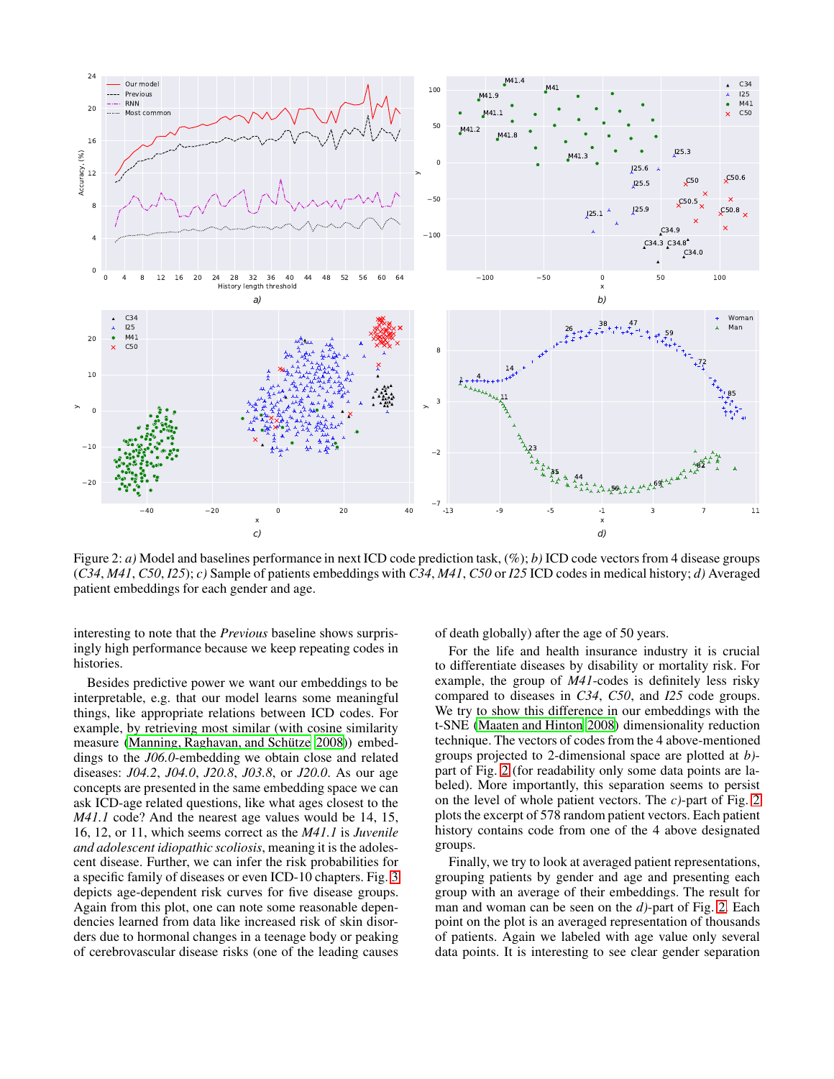<span id="page-3-0"></span>

Figure 2: *a)* Model and baselines performance in next ICD code prediction task, (%); *b)* ICD code vectors from 4 disease groups (*C34*, *M41*, *C50*, *I25*); *c)* Sample of patients embeddings with *C34*, *M41*, *C50* or *I25* ICD codes in medical history; *d)* Averaged patient embeddings for each gender and age.

interesting to note that the *Previous* baseline shows surprisingly high performance because we keep repeating codes in histories.

Besides predictive power we want our embeddings to be interpretable, e.g. that our model learns some meaningful things, like appropriate relations between ICD codes. For example, by retrieving most similar (with cosine similarity measure (Manning, Raghavan, and Schütze 2008)) embeddings to the *J06.0*-embedding we obtain close and related diseases: *J04.2*, *J04.0*, *J20.8*, *J03.8*, or *J20.0*. As our age concepts are presented in the same embedding space we can ask ICD-age related questions, like what ages closest to the *M41.1* code? And the nearest age values would be 14, 15, 16, 12, or 11, which seems correct as the *M41.1* is *Juvenile and adolescent idiopathic scoliosis*, meaning it is the adolescent disease. Further, we can infer the risk probabilities for a specific family of diseases or even ICD-10 chapters. Fig. [3](#page-4-2) depicts age-dependent risk curves for five disease groups. Again from this plot, one can note some reasonable dependencies learned from data like increased risk of skin disorders due to hormonal changes in a teenage body or peaking of cerebrovascular disease risks (one of the leading causes of death globally) after the age of 50 years.

For the life and health insurance industry it is crucial to differentiate diseases by disability or mortality risk. For example, the group of *M41*-codes is definitely less risky compared to diseases in *C34*, *C50*, and *I25* code groups. We try to show this difference in our embeddings with the t-SNE [\(Maaten and Hinton 2008](#page-6-18)) dimensionality reduction technique. The vectors of codes from the 4 above-mentioned groups projected to 2-dimensional space are plotted at *b)* part of Fig. [2](#page-3-0) (for readability only some data points are labeled). More importantly, this separation seems to persist on the level of whole patient vectors. The *c)*-part of Fig. [2](#page-3-0) plots the excerpt of 578 random patient vectors. Each patient history contains code from one of the 4 above designated groups.

Finally, we try to look at averaged patient representations, grouping patients by gender and age and presenting each group with an average of their embeddings. The result for man and woman can be seen on the *d)*-part of Fig. [2.](#page-3-0) Each point on the plot is an averaged representation of thousands of patients. Again we labeled with age value only several data points. It is interesting to see clear gender separation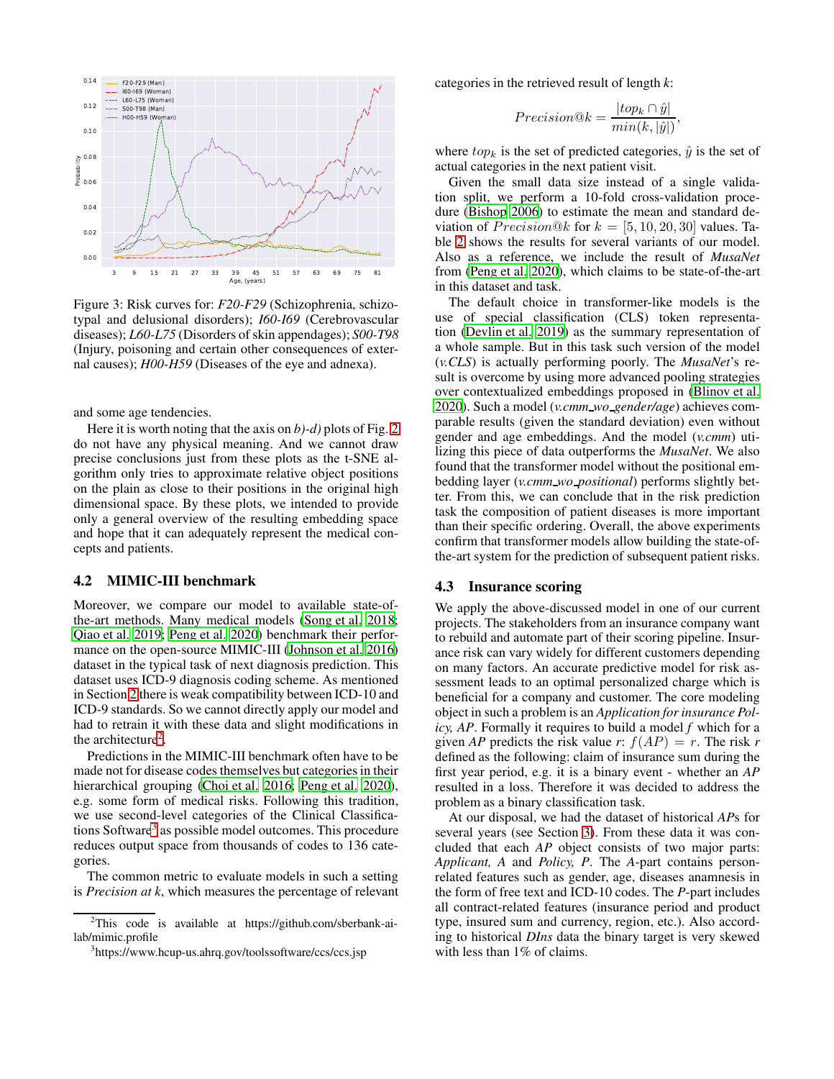<span id="page-4-2"></span>

Figure 3: Risk curves for: *F20-F29* (Schizophrenia, schizotypal and delusional disorders); *I60-I69* (Cerebrovascular diseases); *L60-L75* (Disorders of skin appendages); *S00-T98* (Injury, poisoning and certain other consequences of external causes); *H00-H59* (Diseases of the eye and adnexa).

and some age tendencies.

Here it is worth noting that the axis on *b)-d)* plots of Fig. [2](#page-3-0) do not have any physical meaning. And we cannot draw precise conclusions just from these plots as the t-SNE algorithm only tries to approximate relative object positions on the plain as close to their positions in the original high dimensional space. By these plots, we intended to provide only a general overview of the resulting embedding space and hope that it can adequately represent the medical concepts and patients.

#### <span id="page-4-0"></span>4.2 MIMIC-III benchmark

Moreover, we compare our model to available state-ofthe-art methods. Many medical models [\(Song et al. 2018;](#page-6-19) [Qiao et al. 2019;](#page-6-20) [Peng et al. 2020\)](#page-6-12) benchmark their performance on the open-source MIMIC-III [\(Johnson et al. 2016](#page-6-14)) dataset in the typical task of next diagnosis prediction. This dataset uses ICD-9 diagnosis coding scheme. As mentioned in Section [2](#page-0-0) there is weak compatibility between ICD-10 and ICD-9 standards. So we cannot directly apply our model and had to retrain it with these data and slight modifications in the architecture<sup>[2](#page-4-3)</sup>.

Predictions in the MIMIC-III benchmark often have to be made not for disease codes themselves but categories in their hierarchical grouping [\(Choi et al. 2016;](#page-6-5) [Peng et al. 2020\)](#page-6-12), e.g. some form of medical risks. Following this tradition, we use second-level categories of the Clinical Classifica-tions Software<sup>[3](#page-4-4)</sup> as possible model outcomes. This procedure reduces output space from thousands of codes to 136 categories.

The common metric to evaluate models in such a setting is *Precision at k*, which measures the percentage of relevant categories in the retrieved result of length *k*:

$$
Precision@k = \frac{|top_k \cap \hat{y}|}{min(k,|\hat{y}|)},
$$

where  $top_k$  is the set of predicted categories,  $\hat{y}$  is the set of actual categories in the next patient visit.

Given the small data size instead of a single validation split, we perform a 10-fold cross-validation procedure [\(Bishop 2006\)](#page-6-21) to estimate the mean and standard deviation of  $Precision@k$  for  $k = [5, 10, 20, 30]$  values. Table [2](#page-5-1) shows the results for several variants of our model. Also as a reference, we include the result of *MusaNet* from [\(Peng et al. 2020](#page-6-12)), which claims to be state-of-the-art in this dataset and task.

The default choice in transformer-like models is the use of special classification (CLS) token representation [\(Devlin et al. 2019](#page-6-13)) as the summary representation of a whole sample. But in this task such version of the model (*v.CLS*) is actually performing poorly. The *MusaNet*'s result is overcome by using more advanced pooling strategies over contextualized embeddings proposed in [\(Blinov et al.](#page-6-22) [2020\)](#page-6-22). Such a model (*v.cmm wo gender/age*) achieves comparable results (given the standard deviation) even without gender and age embeddings. And the model (*v.cmm*) utilizing this piece of data outperforms the *MusaNet*. We also found that the transformer model without the positional embedding layer (*v.cmm wo positional*) performs slightly better. From this, we can conclude that in the risk prediction task the composition of patient diseases is more important than their specific ordering. Overall, the above experiments confirm that transformer models allow building the state-ofthe-art system for the prediction of subsequent patient risks.

#### <span id="page-4-1"></span>4.3 Insurance scoring

We apply the above-discussed model in one of our current projects. The stakeholders from an insurance company want to rebuild and automate part of their scoring pipeline. Insurance risk can vary widely for different customers depending on many factors. An accurate predictive model for risk assessment leads to an optimal personalized charge which is beneficial for a company and customer. The core modeling object in such a problem is an *Application for insurance Policy, AP*. Formally it requires to build a model *f* which for a given *AP* predicts the risk value *r*:  $f(AP) = r$ . The risk *r* defined as the following: claim of insurance sum during the first year period, e.g. it is a binary event - whether an *AP* resulted in a loss. Therefore it was decided to address the problem as a binary classification task.

At our disposal, we had the dataset of historical *AP*s for several years (see Section [3\)](#page-1-0). From these data it was concluded that each *AP* object consists of two major parts: *Applicant, A* and *Policy, P*. The *A*-part contains personrelated features such as gender, age, diseases anamnesis in the form of free text and ICD-10 codes. The *P*-part includes all contract-related features (insurance period and product type, insured sum and currency, region, etc.). Also according to historical *DIns* data the binary target is very skewed with less than 1% of claims.

 $2$ This code is available at https://github.com/sberbank-ailab/mimic.profile

<span id="page-4-4"></span><span id="page-4-3"></span><sup>3</sup> https://www.hcup-us.ahrq.gov/toolssoftware/ccs/ccs.jsp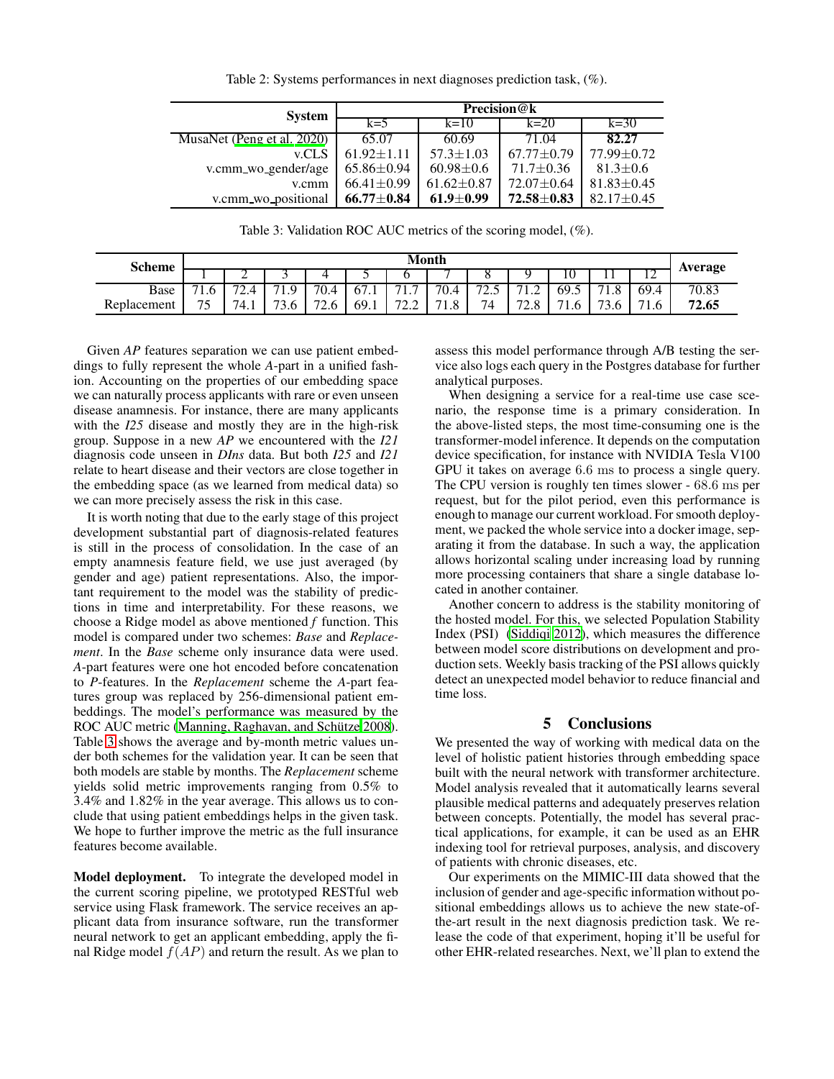<span id="page-5-1"></span>

| <b>System</b>              | Precision@k          |                  |                  |                  |  |  |  |  |
|----------------------------|----------------------|------------------|------------------|------------------|--|--|--|--|
|                            | $k=5$                | $k=10$           | $k=20$           | $k=30$           |  |  |  |  |
| MusaNet (Peng et al. 2020) | 65.07                | 60.69            | 71.04            | 82.27            |  |  |  |  |
| v.CLS                      | $61.92 \pm 1.11$     | $57.3 \pm 1.03$  | $67.77 \pm 0.79$ | $77.99 + 0.72$   |  |  |  |  |
| v.cmm wo gender/age        | $65.86 \pm 0.94$     | $60.98 \pm 0.6$  | $71.7 \pm 0.36$  | $81.3 \pm 0.6$   |  |  |  |  |
| v.cmm                      | $66.41 \pm 0.99$     | $61.62 \pm 0.87$ | $72.07 \pm 0.64$ | $81.83 \pm 0.45$ |  |  |  |  |
| v.cmm_wo_positional        | $66.77 \!\pm\! 0.84$ | $61.9 \pm 0.99$  | 72.58±0.83       | $82.17 + 0.45$   |  |  |  |  |

Table 2: Systems performances in next diagnoses prediction task, (%).

Table 3: Validation ROC AUC metrics of the scoring model, (%).

<span id="page-5-2"></span>

| <b>Scheme</b> | Month                         |                                      |                        |                                    |      |                                                                        |                |                                |                  |                       |                        |                |                |
|---------------|-------------------------------|--------------------------------------|------------------------|------------------------------------|------|------------------------------------------------------------------------|----------------|--------------------------------|------------------|-----------------------|------------------------|----------------|----------------|
|               |                               | ∼                                    | ັ                      | ↵                                  | ັ    |                                                                        |                |                                |                  | ΙU                    | . .                    | $\overline{ }$ | <b>Average</b> |
| Base          | - 1<br>1.V                    | $\overline{\phantom{a}}$<br>$\sim$ . | $^{\circ}$ Q<br>⇁<br>. | 70.4                               | 67.1 | $-1$<br>.                                                              | 70.4           | $\overline{\phantom{a}}$<br>ر… | .                | 69.5                  | $-1$<br>1.0            | 69.4           | 70.83          |
| Replacement   | $\overline{\phantom{0}}$<br>້ | 74.1                                 | 73.6                   | $\overline{\phantom{a}}$<br>$\sim$ | 69.1 | 70 <sub>0</sub><br>$\overline{\phantom{m}}\cdot\overline{\phantom{m}}$ | 71<br>∩<br>1.0 | 74                             | 70<br>$\sim$ . O | $\overline{ }$<br>1.0 | 72 <sup>1</sup><br>D.C | $-11$<br>1.0   | 72.65          |

Given *AP* features separation we can use patient embeddings to fully represent the whole *A*-part in a unified fashion. Accounting on the properties of our embedding space we can naturally process applicants with rare or even unseen disease anamnesis. For instance, there are many applicants with the *I25* disease and mostly they are in the high-risk group. Suppose in a new *AP* we encountered with the *I21* diagnosis code unseen in *DIns* data. But both *I25* and *I21* relate to heart disease and their vectors are close together in the embedding space (as we learned from medical data) so we can more precisely assess the risk in this case.

It is worth noting that due to the early stage of this project development substantial part of diagnosis-related features is still in the process of consolidation. In the case of an empty anamnesis feature field, we use just averaged (by gender and age) patient representations. Also, the important requirement to the model was the stability of predictions in time and interpretability. For these reasons, we choose a Ridge model as above mentioned *f* function. This model is compared under two schemes: *Base* and *Replacement*. In the *Base* scheme only insurance data were used. *A*-part features were one hot encoded before concatenation to *P*-features. In the *Replacement* scheme the *A*-part features group was replaced by 256-dimensional patient embeddings. The model's performance was measured by the ROC AUC metric (Manning, Raghavan, and Schütze 2008). Table [3](#page-5-2) shows the average and by-month metric values under both schemes for the validation year. It can be seen that both models are stable by months. The *Replacement* scheme yields solid metric improvements ranging from 0.5% to 3.4% and 1.82% in the year average. This allows us to conclude that using patient embeddings helps in the given task. We hope to further improve the metric as the full insurance features become available.

Model deployment. To integrate the developed model in the current scoring pipeline, we prototyped RESTful web service using Flask framework. The service receives an applicant data from insurance software, run the transformer neural network to get an applicant embedding, apply the final Ridge model  $f(AP)$  and return the result. As we plan to

assess this model performance through A/B testing the service also logs each query in the Postgres database for further analytical purposes.

When designing a service for a real-time use case scenario, the response time is a primary consideration. In the above-listed steps, the most time-consuming one is the transformer-model inference. It depends on the computation device specification, for instance with NVIDIA Tesla V100 GPU it takes on average 6.6 ms to process a single query. The CPU version is roughly ten times slower - 68.6 ms per request, but for the pilot period, even this performance is enough to manage our current workload. For smooth deployment, we packed the whole service into a docker image, separating it from the database. In such a way, the application allows horizontal scaling under increasing load by running more processing containers that share a single database located in another container.

Another concern to address is the stability monitoring of the hosted model. For this, we selected Population Stability Index (PSI) [\(Siddiqi 2012\)](#page-6-23), which measures the difference between model score distributions on development and production sets. Weekly basis tracking of the PSI allows quickly detect an unexpected model behavior to reduce financial and time loss.

# 5 Conclusions

<span id="page-5-0"></span>We presented the way of working with medical data on the level of holistic patient histories through embedding space built with the neural network with transformer architecture. Model analysis revealed that it automatically learns several plausible medical patterns and adequately preserves relation between concepts. Potentially, the model has several practical applications, for example, it can be used as an EHR indexing tool for retrieval purposes, analysis, and discovery of patients with chronic diseases, etc.

Our experiments on the MIMIC-III data showed that the inclusion of gender and age-specific information without positional embeddings allows us to achieve the new state-ofthe-art result in the next diagnosis prediction task. We release the code of that experiment, hoping it'll be useful for other EHR-related researches. Next, we'll plan to extend the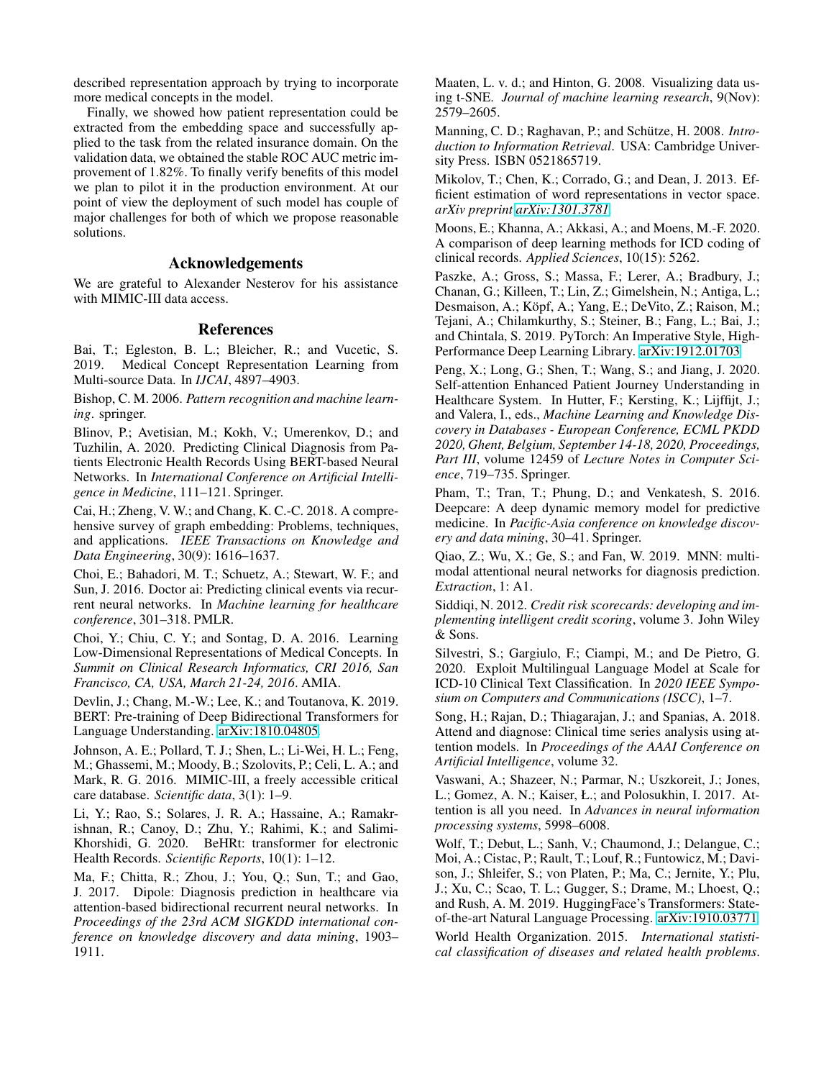described representation approach by trying to incorporate more medical concepts in the model.

Finally, we showed how patient representation could be extracted from the embedding space and successfully applied to the task from the related insurance domain. On the validation data, we obtained the stable ROC AUC metric improvement of 1.82%. To finally verify benefits of this model we plan to pilot it in the production environment. At our point of view the deployment of such model has couple of major challenges for both of which we propose reasonable solutions.

### Acknowledgements

We are grateful to Alexander Nesterov for his assistance with MIMIC-III data access.

### References

<span id="page-6-3"></span>Bai, T.; Egleston, B. L.; Bleicher, R.; and Vucetic, S. 2019. Medical Concept Representation Learning from Multi-source Data. In *IJCAI*, 4897–4903.

<span id="page-6-21"></span>Bishop, C. M. 2006. *Pattern recognition and machine learning*. springer.

<span id="page-6-22"></span>Blinov, P.; Avetisian, M.; Kokh, V.; Umerenkov, D.; and Tuzhilin, A. 2020. Predicting Clinical Diagnosis from Patients Electronic Health Records Using BERT-based Neural Networks. In *International Conference on Artificial Intelligence in Medicine*, 111–121. Springer.

<span id="page-6-1"></span>Cai, H.; Zheng, V. W.; and Chang, K. C.-C. 2018. A comprehensive survey of graph embedding: Problems, techniques, and applications. *IEEE Transactions on Knowledge and Data Engineering*, 30(9): 1616–1637.

<span id="page-6-5"></span>Choi, E.; Bahadori, M. T.; Schuetz, A.; Stewart, W. F.; and Sun, J. 2016. Doctor ai: Predicting clinical events via recurrent neural networks. In *Machine learning for healthcare conference*, 301–318. PMLR.

<span id="page-6-2"></span>Choi, Y.; Chiu, C. Y.; and Sontag, D. A. 2016. Learning Low-Dimensional Representations of Medical Concepts. In *Summit on Clinical Research Informatics, CRI 2016, San Francisco, CA, USA, March 21-24, 2016*. AMIA.

<span id="page-6-13"></span>Devlin, J.; Chang, M.-W.; Lee, K.; and Toutanova, K. 2019. BERT: Pre-training of Deep Bidirectional Transformers for Language Understanding. [arXiv:1810.04805.](http://arxiv.org/abs/1810.04805)

<span id="page-6-14"></span>Johnson, A. E.; Pollard, T. J.; Shen, L.; Li-Wei, H. L.; Feng, M.; Ghassemi, M.; Moody, B.; Szolovits, P.; Celi, L. A.; and Mark, R. G. 2016. MIMIC-III, a freely accessible critical care database. *Scientific data*, 3(1): 1–9.

<span id="page-6-11"></span>Li, Y.; Rao, S.; Solares, J. R. A.; Hassaine, A.; Ramakrishnan, R.; Canoy, D.; Zhu, Y.; Rahimi, K.; and Salimi-Khorshidi, G. 2020. BeHRt: transformer for electronic Health Records. *Scientific Reports*, 10(1): 1–12.

<span id="page-6-7"></span>Ma, F.; Chitta, R.; Zhou, J.; You, Q.; Sun, T.; and Gao, J. 2017. Dipole: Diagnosis prediction in healthcare via attention-based bidirectional recurrent neural networks. In *Proceedings of the 23rd ACM SIGKDD international conference on knowledge discovery and data mining*, 1903– 1911.

<span id="page-6-18"></span>Maaten, L. v. d.; and Hinton, G. 2008. Visualizing data using t-SNE. *Journal of machine learning research*, 9(Nov): 2579–2605.

<span id="page-6-17"></span>Manning, C. D.; Raghavan, P.; and Schütze, H. 2008. *Introduction to Information Retrieval*. USA: Cambridge University Press. ISBN 0521865719.

<span id="page-6-4"></span>Mikolov, T.; Chen, K.; Corrado, G.; and Dean, J. 2013. Efficient estimation of word representations in vector space. *arXiv preprint [arXiv:1301.3781](http://arxiv.org/abs/1301.3781)*.

<span id="page-6-9"></span>Moons, E.; Khanna, A.; Akkasi, A.; and Moens, M.-F. 2020. A comparison of deep learning methods for ICD coding of clinical records. *Applied Sciences*, 10(15): 5262.

<span id="page-6-15"></span>Paszke, A.; Gross, S.; Massa, F.; Lerer, A.; Bradbury, J.; Chanan, G.; Killeen, T.; Lin, Z.; Gimelshein, N.; Antiga, L.; Desmaison, A.; Köpf, A.; Yang, E.; DeVito, Z.; Raison, M.; Tejani, A.; Chilamkurthy, S.; Steiner, B.; Fang, L.; Bai, J.; and Chintala, S. 2019. PyTorch: An Imperative Style, High-Performance Deep Learning Library. [arXiv:1912.01703.](http://arxiv.org/abs/1912.01703)

<span id="page-6-12"></span>Peng, X.; Long, G.; Shen, T.; Wang, S.; and Jiang, J. 2020. Self-attention Enhanced Patient Journey Understanding in Healthcare System. In Hutter, F.; Kersting, K.; Lijffijt, J.; and Valera, I., eds., *Machine Learning and Knowledge Discovery in Databases - European Conference, ECML PKDD 2020, Ghent, Belgium, September 14-18, 2020, Proceedings, Part III*, volume 12459 of *Lecture Notes in Computer Science*, 719–735. Springer.

<span id="page-6-6"></span>Pham, T.; Tran, T.; Phung, D.; and Venkatesh, S. 2016. Deepcare: A deep dynamic memory model for predictive medicine. In *Pacific-Asia conference on knowledge discovery and data mining*, 30–41. Springer.

<span id="page-6-20"></span>Qiao, Z.; Wu, X.; Ge, S.; and Fan, W. 2019. MNN: multimodal attentional neural networks for diagnosis prediction. *Extraction*, 1: A1.

<span id="page-6-23"></span>Siddiqi, N. 2012. *Credit risk scorecards: developing and implementing intelligent credit scoring*, volume 3. John Wiley & Sons.

<span id="page-6-10"></span>Silvestri, S.; Gargiulo, F.; Ciampi, M.; and De Pietro, G. 2020. Exploit Multilingual Language Model at Scale for ICD-10 Clinical Text Classification. In *2020 IEEE Symposium on Computers and Communications (ISCC)*, 1–7.

<span id="page-6-19"></span>Song, H.; Rajan, D.; Thiagarajan, J.; and Spanias, A. 2018. Attend and diagnose: Clinical time series analysis using attention models. In *Proceedings of the AAAI Conference on Artificial Intelligence*, volume 32.

<span id="page-6-8"></span>Vaswani, A.; Shazeer, N.; Parmar, N.; Uszkoreit, J.; Jones, L.; Gomez, A. N.; Kaiser, Ł.; and Polosukhin, I. 2017. Attention is all you need. In *Advances in neural information processing systems*, 5998–6008.

<span id="page-6-16"></span>Wolf, T.; Debut, L.; Sanh, V.; Chaumond, J.; Delangue, C.; Moi, A.; Cistac, P.; Rault, T.; Louf, R.; Funtowicz, M.; Davison, J.; Shleifer, S.; von Platen, P.; Ma, C.; Jernite, Y.; Plu, J.; Xu, C.; Scao, T. L.; Gugger, S.; Drame, M.; Lhoest, Q.; and Rush, A. M. 2019. HuggingFace's Transformers: Stateof-the-art Natural Language Processing. [arXiv:1910.03771.](http://arxiv.org/abs/1910.03771)

<span id="page-6-0"></span>World Health Organization. 2015. *International statistical classification of diseases and related health problems*.